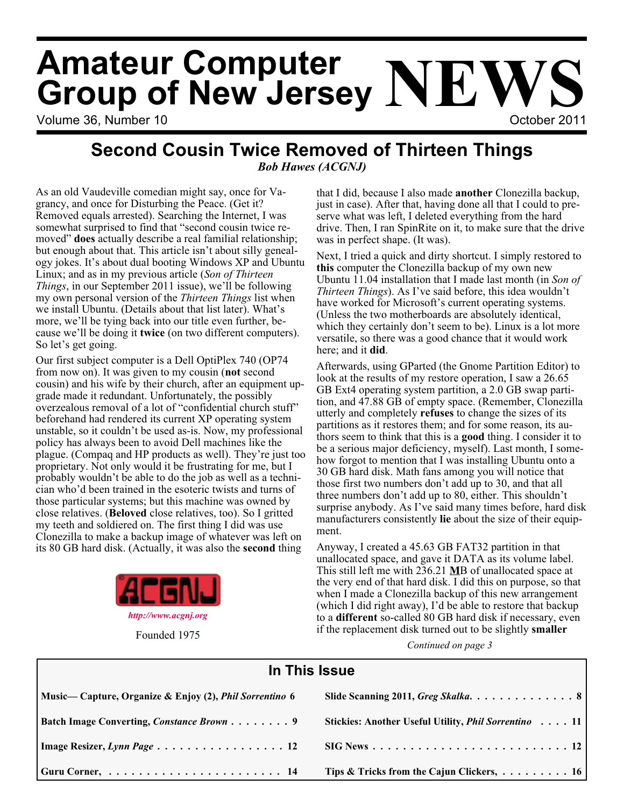# Volume 36, Number 10 **October 2011 Amateur Computer Group of New Jersey NEWS**

# **Second Cousin Twice Removed of Thirteen Things** *Bob Hawes (ACGNJ)*

As an old Vaudeville comedian might say, once for Vagrancy, and once for Disturbing the Peace. (Get it? Removed equals arrested). Searching the Internet, I was somewhat surprised to find that "second cousin twice removed" **does** actually describe a real familial relationship; but enough about that. This article isn't about silly genealogy jokes. It's about dual booting Windows XP and Ubuntu Linux; and as in my previous article (*Son of Thirteen Things*, in our September 2011 issue), we'll be following my own personal version of the *Thirteen Things* list when we install Ubuntu. (Details about that list later). What's more, we'll be tying back into our title even further, because we'll be doing it **twice** (on two different computers). So let's get going.

Our first subject computer is a Dell OptiPlex 740 (OP74 from now on). It was given to my cousin (**not** second cousin) and his wife by their church, after an equipment upgrade made it redundant. Unfortunately, the possibly overzealous removal of a lot of "confidential church stuff" beforehand had rendered its current XP operating system unstable, so it couldn't be used as-is. Now, my professional policy has always been to avoid Dell machines like the plague. (Compaq and HP products as well). They're just too proprietary. Not only would it be frustrating for me, but I probably wouldn't be able to do the job as well as a technician who'd been trained in the esoteric twists and turns of those particular systems; but this machine was owned by close relatives. (**Beloved** close relatives, too). So I gritted my teeth and soldiered on. The first thing I did was use Clonezilla to make a backup image of whatever was left on its 80 GB hard disk. (Actually, it was also the **second** thing



Founded 1975

that I did, because I also made **another** Clonezilla backup, just in case). After that, having done all that I could to preserve what was left, I deleted everything from the hard drive. Then, I ran SpinRite on it, to make sure that the drive was in perfect shape. (It was).

Next, I tried a quick and dirty shortcut. I simply restored to **this** computer the Clonezilla backup of my own new Ubuntu 11.04 installation that I made last month (in *Son of Thirteen Things*). As I've said before, this idea wouldn't have worked for Microsoft's current operating systems. (Unless the two motherboards are absolutely identical, which they certainly don't seem to be). Linux is a lot more versatile, so there was a good chance that it would work here; and it **did**.

Afterwards, using GParted (the Gnome Partition Editor) to look at the results of my restore operation, I saw a  $26.65$ GB Ext4 operating system partition, a 2.0 GB swap partition, and 47.88 GB of empty space. (Remember, Clonezilla utterly and completely **refuses** to change the sizes of its partitions as it restores them; and for some reason, its authors seem to think that this is a **good** thing. I consider it to be a serious major deficiency, myself). Last month, I somehow forgot to mention that I was installing Ubuntu onto a 30 GB hard disk. Math fans among you will notice that those first two numbers don't add up to 30, and that all three numbers don't add up to 80, either. This shouldn't surprise anybody. As I've said many times before, hard disk manufacturers consistently **lie** about the size of their equipment.

Anyway, I created a 45.63 GB FAT32 partition in that unallocated space, and gave it DATA as its volume label. This still left me with 236.21 **M**B of unallocated space at the very end of that hard disk. I did this on purpose, so that when I made a Clonezilla backup of this new arrangement (which I did right away), I'd be able to restore that backup to a **different** so-called 80 GB hard disk if necessary, even if the replacement disk turned out to be slightly **smaller**

| In This Issue                                                  |                                                                                  |  |
|----------------------------------------------------------------|----------------------------------------------------------------------------------|--|
| Music— Capture, Organize & Enjoy (2), <i>Phil Sorrentino</i> 6 | Slide Scanning 2011, Greg Skalka. 8                                              |  |
| <b>Batch Image Converting, Constance Brown</b> 9               | Stickies: Another Useful Utility, <i>Phil Sorrentino</i> 11                      |  |
| Image Resizer, Lynn Page 12                                    | $\text{SIG News} \dots \dots \dots \dots \dots \dots \dots \dots \dots \dots 12$ |  |
|                                                                | Tips & Tricks from the Cajun Clickers, $\dots \dots \dots \dots$                 |  |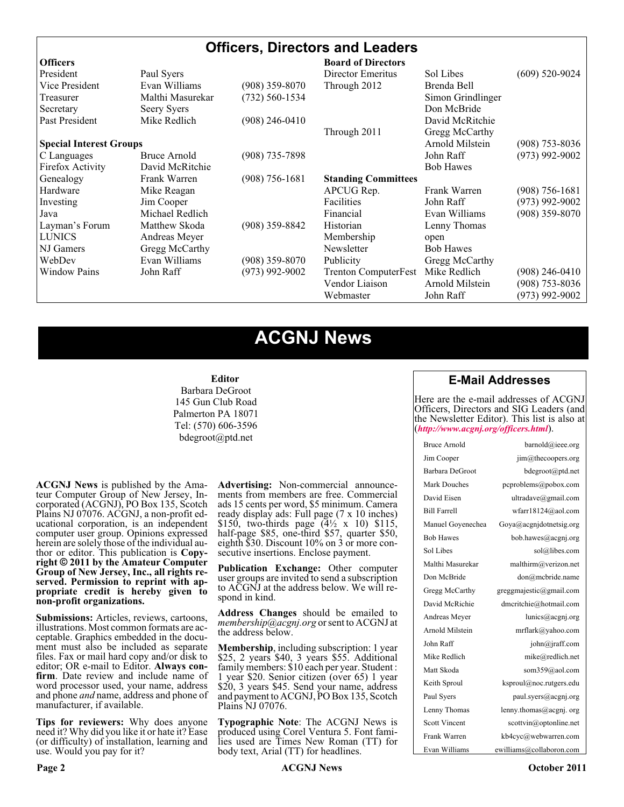# **Officers, Directors and Leaders**

| <b>Officers</b>                |                     |                  | <b>Board of Directors</b>   |                   |                    |
|--------------------------------|---------------------|------------------|-----------------------------|-------------------|--------------------|
| President                      | Paul Syers          |                  | Director Emeritus           | Sol Libes         | $(609)$ 520-9024   |
| Vice President                 | Evan Williams       | (908) 359-8070   | Through 2012                | Brenda Bell       |                    |
| Treasurer                      | Malthi Masurekar    | (732) 560-1534   |                             | Simon Grindlinger |                    |
| Secretary                      | <b>Seery Syers</b>  |                  |                             | Don McBride       |                    |
| Past President                 | Mike Redlich        | $(908)$ 246-0410 |                             | David McRitchie   |                    |
|                                |                     |                  | Through 2011                | Gregg McCarthy    |                    |
| <b>Special Interest Groups</b> |                     |                  |                             | Arnold Milstein   | $(908)$ 753-8036   |
| C Languages                    | <b>Bruce Arnold</b> | $(908)$ 735-7898 |                             | John Raff         | $(973)$ 992-9002   |
| Firefox Activity               | David McRitchie     |                  |                             | <b>Bob Hawes</b>  |                    |
| Genealogy                      | Frank Warren        | $(908)$ 756-1681 | <b>Standing Committees</b>  |                   |                    |
| Hardware                       | Mike Reagan         |                  | APCUG Rep.                  | Frank Warren      | $(908) 756 - 1681$ |
| Investing                      | Jim Cooper          |                  | Facilities                  | John Raff         | $(973)$ 992-9002   |
| Java                           | Michael Redlich     |                  | Financial                   | Evan Williams     | $(908)$ 359-8070   |
| Layman's Forum                 | Matthew Skoda       | $(908)$ 359-8842 | Historian                   | Lenny Thomas      |                    |
| <b>LUNICS</b>                  | Andreas Meyer       |                  | Membership                  | open              |                    |
| NJ Gamers                      | Gregg McCarthy      |                  | Newsletter                  | <b>Bob Hawes</b>  |                    |
| WebDev                         | Evan Williams       | $(908)$ 359-8070 | Publicity                   | Gregg McCarthy    |                    |
| <b>Window Pains</b>            | John Raff           | $(973)$ 992-9002 | <b>Trenton ComputerFest</b> | Mike Redlich      | $(908)$ 246-0410   |
|                                |                     |                  | Vendor Liaison              | Arnold Milstein   | $(908)$ 753-8036   |
|                                |                     |                  | Webmaster                   | John Raff         | $(973)$ 992-9002   |

# **ACGNJ News**

#### **Editor**

Barbara DeGroot 145 Gun Club Road Palmerton PA 18071 Tel: (570) 606-3596 bdegroot@ptd.net

**ACGNJ News** is published by the Ama- teur Computer Group of New Jersey, In- corporated (ACGNJ), PO Box 135, Scotch Plains NJ 07076. ACGNJ, a non-profit ed- ucational corporation, is an independent computer user group. Opinions expressed herein are solely those of the individual author or editor. This publication is **Copy-**<br>**right**  $\bigcirc$  2011 by the Amateur Computer<br>**Group of New Jersey, Inc., all rights re-Group of New Jersey, Inc., all rights re- served. Permission to reprint with ap- propriate credit is hereby given to non-profit organizations.**

**Submissions:** Articles, reviews, cartoons, illustrations. Most common formats are ac- ceptable. Graphics embedded in the docu- ment must also be included as separate files. Fax or mail hard copy and/or disk to editor; OR e-mail to Editor. Always confirm. Date review and include name of word processor used, your name, address and phone *and* name, address and phone of manufacturer, if available.

**Tips for reviewers:** Why does anyone need it? Why did you like it or hate it? Ease (or difficulty) of installation, learning and use. Would you pay for it?

**Advertising:** Non-commercial announce- ments from members are free. Commercial ads 15 cents per word, \$5 minimum. Camera ready display ads: Full page (7 x 10 inches) \$150, two-thirds page  $(4\frac{1}{2} \times 10)$  \$115, half-page \$85, one-third \$57, quarter \$50, eighth \$30. Discount 10% on 3 or more con- secutive insertions. Enclose payment.

**Publication Exchange:** Other computer user groups are invited to send a subscription to ACGNJ at the address below. We will re- spond in kind.

**Address Changes** should be emailed to *membership@acgnj.org* or sent to ACGNJ at the address below.

**Membership**, including subscription: 1 year \$25, 2 years \$40, 3 years \$55. Additional family members: \$10 each per year. Student : 1 year \$20. Senior citizen (over 65) 1 year \$20, 3 years \$45. Send your name, address and payment to ACGNJ, PO Box 135, Scotch Plains NJ 07076.

**Typographic Note**: The ACGNJ News is produced using Corel Ventura 5. Font fami- lies used are Times New Roman (TT) for body text, Arial (TT) for headlines.

#### **E-Mail Addresses**

Here are the e-mail addresses of ACGNJ Officers, Directors and SIG Leaders (and the Newsletter Editor). This list is also at (*<http://www.acgnj.org/officers.html>*).

| Bruce Arnold         | barnold@ieee.org         |
|----------------------|--------------------------|
| Jim Cooper           | jim@thecoopers.org       |
| Barbara DeGroot      | bdegroot@ptd.net         |
| Mark Douches         | pcproblems@pobox.com     |
| David Eisen          | ultradave@gmail.com      |
| <b>Bill Farrell</b>  | wfarr18124@aol.com       |
| Manuel Goyenechea    | Goya@acgnidotnetsig.org  |
| <b>Bob Hawes</b>     | bob.hawes@acgnj.org      |
| Sol Libes            | sol@libes.com            |
| Malthi Masurekar     | malthirm@verizon.net     |
| Don McBride          | don@mcbride.name         |
| Gregg McCarthy       | greggmajestic@gmail.com  |
| David McRichie       | dmcritchie@hotmail.com   |
| Andreas Meyer        | lunics@acgnj.org         |
| Arnold Milstein      | mrflark@yahoo.com        |
| John Raff            | john@jraff.com           |
| Mike Redlich         | mike@redlich.net         |
| Matt Skoda           | som359@aol.com           |
| Keith Sproul         | ksproul@noc.rutgers.edu  |
| Paul Syers           | paul.syers@acgnj.org     |
| Lenny Thomas         | lenny.thomas@acgnj.org   |
| <b>Scott Vincent</b> | scottvin@optonline.net   |
| Frank Warren         | kb4cyc@webwarren.com     |
| Evan Williams        | ewilliams@collaboron.com |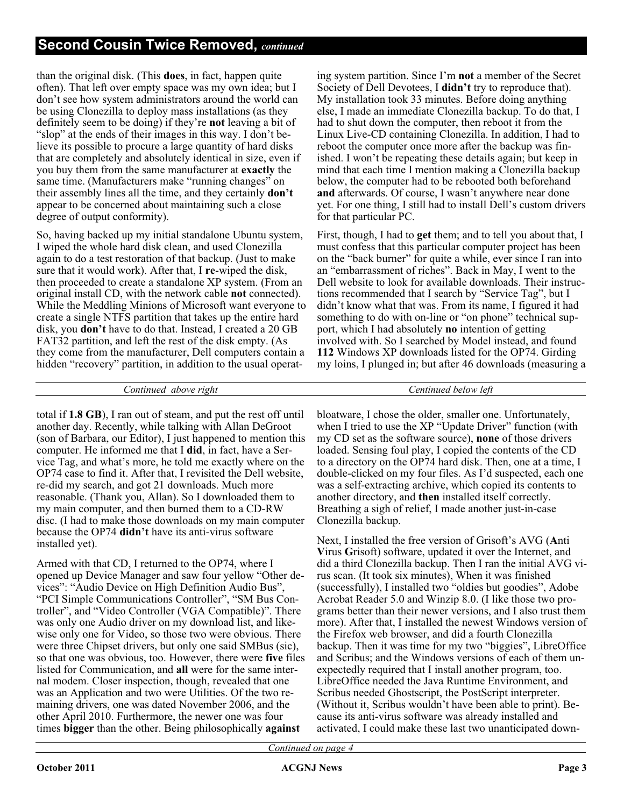than the original disk. (This **does**, in fact, happen quite often). That left over empty space was my own idea; but I don't see how system administrators around the world can be using Clonezilla to deploy mass installations (as they definitely seem to be doing) if they're **not** leaving a bit of "slop" at the ends of their images in this way. I don't believe its possible to procure a large quantity of hard disks that are completely and absolutely identical in size, even if you buy them from the same manufacturer at **exactly** the same time. (Manufacturers make "running changes" on their assembly lines all the time, and they certainly **don't** appear to be concerned about maintaining such a close degree of output conformity).

So, having backed up my initial standalone Ubuntu system, I wiped the whole hard disk clean, and used Clonezilla again to do a test restoration of that backup. (Just to make sure that it would work). After that, I **re**-wiped the disk, then proceeded to create a standalone XP system. (From an original install CD, with the network cable **not** connected). While the Meddling Minions of Microsoft want everyone to create a single NTFS partition that takes up the entire hard disk, you **don't** have to do that. Instead, I created a 20 GB FAT32 partition, and left the rest of the disk empty. (As they come from the manufacturer, Dell computers contain a hidden "recovery" partition, in addition to the usual operating system partition. Since I'm **not** a member of the Secret Society of Dell Devotees, I **didn't** try to reproduce that). My installation took 33 minutes. Before doing anything else, I made an immediate Clonezilla backup. To do that, I had to shut down the computer, then reboot it from the Linux Live-CD containing Clonezilla. In addition, I had to reboot the computer once more after the backup was finished. I won't be repeating these details again; but keep in mind that each time I mention making a Clonezilla backup below, the computer had to be rebooted both beforehand **and** afterwards. Of course, I wasn't anywhere near done yet. For one thing, I still had to install Dell's custom drivers for that particular PC.

First, though, I had to **get** them; and to tell you about that, I must confess that this particular computer project has been on the "back burner" for quite a while, ever since I ran into an "embarrassment of riches". Back in May, I went to the Dell website to look for available downloads. Their instructions recommended that I search by "Service Tag", but I didn't know what that was. From its name, I figured it had something to do with on-line or "on phone" technical support, which I had absolutely **no** intention of getting involved with. So I searched by Model instead, and found **112** Windows XP downloads listed for the OP74. Girding my loins, I plunged in; but after 46 downloads (measuring a

*Continued above right Centinued below left*

total if **1.8 GB**), I ran out of steam, and put the rest off until another day. Recently, while talking with Allan DeGroot (son of Barbara, our Editor), I just happened to mention this computer. He informed me that I **did**, in fact, have a Service Tag, and what's more, he told me exactly where on the OP74 case to find it. After that, I revisited the Dell website, re-did my search, and got 21 downloads. Much more reasonable. (Thank you, Allan). So I downloaded them to my main computer, and then burned them to a CD-RW disc. (I had to make those downloads on my main computer because the OP74 **didn't** have its anti-virus software installed yet).

Armed with that CD, I returned to the OP74, where I opened up Device Manager and saw four yellow "Other devices": "Audio Device on High Definition Audio Bus", "PCI Simple Communications Controller", "SM Bus Controller", and "Video Controller (VGA Compatible)". There was only one Audio driver on my download list, and likewise only one for Video, so those two were obvious. There were three Chipset drivers, but only one said SMBus (sic), so that one was obvious, too. However, there were **five** files listed for Communication, and **all** were for the same internal modem. Closer inspection, though, revealed that one was an Application and two were Utilities. Of the two remaining drivers, one was dated November 2006, and the other April 2010. Furthermore, the newer one was four times **bigger** than the other. Being philosophically **against**

bloatware, I chose the older, smaller one. Unfortunately, when I tried to use the XP "Update Driver" function (with my CD set as the software source), **none** of those drivers loaded. Sensing foul play, I copied the contents of the CD to a directory on the OP74 hard disk. Then, one at a time, I double-clicked on my four files. As I'd suspected, each one was a self-extracting archive, which copied its contents to another directory, and **then** installed itself correctly. Breathing a sigh of relief, I made another just-in-case Clonezilla backup.

Next, I installed the free version of Grisoft's AVG (**A**nti **V**irus **G**risoft) software, updated it over the Internet, and did a third Clonezilla backup. Then I ran the initial AVG virus scan. (It took six minutes), When it was finished (successfully), I installed two "oldies but goodies", Adobe Acrobat Reader 5.0 and Winzip 8.0. (I like those two programs better than their newer versions, and I also trust them more). After that, I installed the newest Windows version of the Firefox web browser, and did a fourth Clonezilla backup. Then it was time for my two "biggies", LibreOffice and Scribus; and the Windows versions of each of them unexpectedly required that I install another program, too. LibreOffice needed the Java Runtime Environment, and Scribus needed Ghostscript, the PostScript interpreter. (Without it, Scribus wouldn't have been able to print). Because its anti-virus software was already installed and activated, I could make these last two unanticipated down-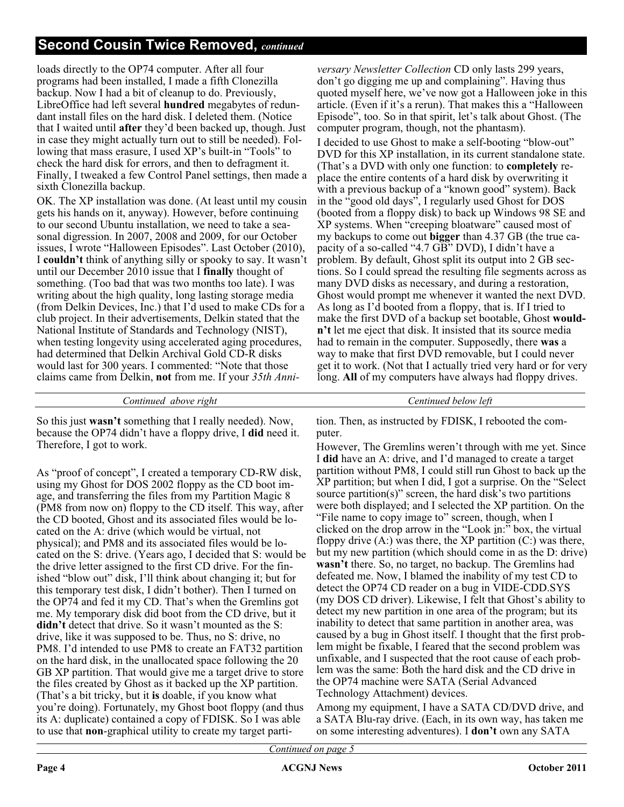# **Second Cousin Twice Removed,** *continued*

loads directly to the OP74 computer. After all four programs had been installed, I made a fifth Clonezilla backup. Now I had a bit of cleanup to do. Previously, LibreOffice had left several **hundred** megabytes of redundant install files on the hard disk. I deleted them. (Notice that I waited until **after** they'd been backed up, though. Just in case they might actually turn out to still be needed). Following that mass erasure, I used XP's built-in "Tools" to check the hard disk for errors, and then to defragment it. Finally, I tweaked a few Control Panel settings, then made a sixth Clonezilla backup.

OK. The XP installation was done. (At least until my cousin gets his hands on it, anyway). However, before continuing to our second Ubuntu installation, we need to take a seasonal digression. In 2007, 2008 and 2009, for our October issues, I wrote "Halloween Episodes". Last October (2010), I **couldn't** think of anything silly or spooky to say. It wasn't until our December 2010 issue that I **finally** thought of something. (Too bad that was two months too late). I was writing about the high quality, long lasting storage media (from Delkin Devices, Inc.) that I'd used to make CDs for a club project. In their advertisements, Delkin stated that the National Institute of Standards and Technology (NIST), when testing longevity using accelerated aging procedures, had determined that Delkin Archival Gold CD-R disks would last for 300 years. I commented: "Note that those claims came from Delkin, **not** from me. If your *35th Anni-*

*Continued above right Centinued below left*

So this just **wasn't** something that I really needed). Now, because the OP74 didn't have a floppy drive, I **did** need it. Therefore, I got to work.

As "proof of concept", I created a temporary CD-RW disk, using my Ghost for DOS 2002 floppy as the CD boot image, and transferring the files from my Partition Magic 8 (PM8 from now on) floppy to the CD itself. This way, after the CD booted, Ghost and its associated files would be located on the A: drive (which would be virtual, not physical); and PM8 and its associated files would be located on the S: drive. (Years ago, I decided that S: would be the drive letter assigned to the first CD drive. For the finished "blow out" disk, I'll think about changing it; but for this temporary test disk, I didn't bother). Then I turned on the OP74 and fed it my CD. That's when the Gremlins got me. My temporary disk did boot from the CD drive, but it **didn't** detect that drive. So it wasn't mounted as the S: drive, like it was supposed to be. Thus, no S: drive, no PM8. I'd intended to use PM8 to create an FAT32 partition on the hard disk, in the unallocated space following the 20 GB XP partition. That would give me a target drive to store the files created by Ghost as it backed up the XP partition. (That's a bit tricky, but it **is** doable, if you know what you're doing). Fortunately, my Ghost boot floppy (and thus its A: duplicate) contained a copy of FDISK. So I was able to use that **non**-graphical utility to create my target parti-

*versary Newsletter Collection* CD only lasts 299 years, don't go digging me up and complaining". Having thus quoted myself here, we've now got a Halloween joke in this article. (Even if it's a rerun). That makes this a "Halloween Episode", too. So in that spirit, let's talk about Ghost. (The computer program, though, not the phantasm).

I decided to use Ghost to make a self-booting "blow-out" DVD for this XP installation, in its current standalone state. (That's a DVD with only one function: to **completely** replace the entire contents of a hard disk by overwriting it with a previous backup of a "known good" system). Back in the "good old days", I regularly used Ghost for DOS (booted from a floppy disk) to back up Windows 98 SE and XP systems. When "creeping bloatware" caused most of my backups to come out **bigger** than 4.37 GB (the true capacity of a so-called "4.7 GB" DVD), I didn't have a problem. By default, Ghost split its output into 2 GB sections. So I could spread the resulting file segments across as many DVD disks as necessary, and during a restoration, Ghost would prompt me whenever it wanted the next DVD. As long as I'd booted from a floppy, that is. If I tried to make the first DVD of a backup set bootable, Ghost **wouldn't** let me eject that disk. It insisted that its source media had to remain in the computer. Supposedly, there **was** a way to make that first DVD removable, but I could never get it to work. (Not that I actually tried very hard or for very long. **All** of my computers have always had floppy drives.

tion. Then, as instructed by FDISK, I rebooted the computer.

However, The Gremlins weren't through with me yet. Since I **did** have an A: drive, and I'd managed to create a target partition without PM8, I could still run Ghost to back up the XP partition; but when I did, I got a surprise. On the "Select source partition(s)" screen, the hard disk's two partitions were both displayed; and I selected the XP partition. On the "File name to copy image to" screen, though, when I clicked on the drop arrow in the "Look in:" box, the virtual floppy drive  $(A)$  was there, the XP partition  $(C)$  was there, but my new partition (which should come in as the D: drive) **wasn't** there. So, no target, no backup. The Gremlins had defeated me. Now, I blamed the inability of my test CD to detect the OP74 CD reader on a bug in VIDE-CDD.SYS (my DOS CD driver). Likewise, I felt that Ghost's ability to detect my new partition in one area of the program; but its inability to detect that same partition in another area, was caused by a bug in Ghost itself. I thought that the first problem might be fixable, I feared that the second problem was unfixable, and I suspected that the root cause of each problem was the same: Both the hard disk and the CD drive in the OP74 machine were SATA (Serial Advanced Technology Attachment) devices.

Among my equipment, I have a SATA CD/DVD drive, and a SATA Blu-ray drive. (Each, in its own way, has taken me on some interesting adventures). I **don't** own any SATA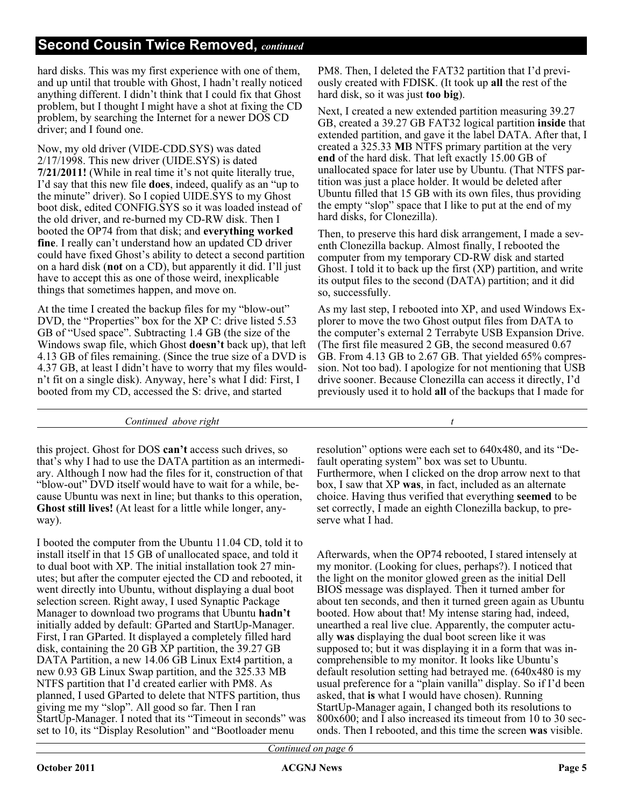# **Second Cousin Twice Removed,** *continued*

hard disks. This was my first experience with one of them, and up until that trouble with Ghost, I hadn't really noticed anything different. I didn't think that I could fix that Ghost problem, but I thought I might have a shot at fixing the CD problem, by searching the Internet for a newer DOS CD driver; and I found one.

Now, my old driver (VIDE-CDD.SYS) was dated 2/17/1998. This new driver (UIDE.SYS) is dated **7/21/2011!** (While in real time it's not quite literally true, I'd say that this new file **does**, indeed, qualify as an "up to the minute" driver). So I copied UIDE.SYS to my Ghost boot disk, edited CONFIG.SYS so it was loaded instead of the old driver, and re-burned my CD-RW disk. Then I booted the OP74 from that disk; and **everything worked fine**. I really can't understand how an updated CD driver could have fixed Ghost's ability to detect a second partition on a hard disk (**not** on a CD), but apparently it did. I'll just have to accept this as one of those weird, inexplicable things that sometimes happen, and move on.

At the time I created the backup files for my "blow-out" DVD, the "Properties" box for the XP C: drive listed 5.53 GB of "Used space". Subtracting 1.4 GB (the size of the Windows swap file, which Ghost **doesn't** back up), that left 4.13 GB of files remaining. (Since the true size of a DVD is 4.37 GB, at least I didn't have to worry that my files wouldn't fit on a single disk). Anyway, here's what I did: First, I booted from my CD, accessed the S: drive, and started

PM8. Then, I deleted the FAT32 partition that I'd previously created with FDISK. (It took up **all** the rest of the hard disk, so it was just **too big**).

Next, I created a new extended partition measuring 39.27 GB, created a 39.27 GB FAT32 logical partition **inside** that extended partition, and gave it the label DATA. After that, I created a 325.33 **M**B NTFS primary partition at the very **end** of the hard disk. That left exactly 15.00 GB of unallocated space for later use by Ubuntu. (That NTFS partition was just a place holder. It would be deleted after Ubuntu filled that 15 GB with its own files, thus providing the empty "slop" space that I like to put at the end of my hard disks, for Clonezilla).

Then, to preserve this hard disk arrangement, I made a seventh Clonezilla backup. Almost finally, I rebooted the computer from my temporary CD-RW disk and started Ghost. I told it to back up the first (XP) partition, and write its output files to the second (DATA) partition; and it did so, successfully.

As my last step, I rebooted into XP, and used Windows Explorer to move the two Ghost output files from DATA to the computer's external 2 Terrabyte USB Expansion Drive. (The first file measured 2 GB, the second measured 0.67 GB. From 4.13 GB to 2.67 GB. That yielded 65% compression. Not too bad). I apologize for not mentioning that USB drive sooner. Because Clonezilla can access it directly, I'd previously used it to hold **all** of the backups that I made for

*Continued above right* the set of the set of the set of the set of the set of the set of the set of the set of the set of the set of the set of the set of the set of the set of the set of the set of the set of the set of

this project. Ghost for DOS **can't** access such drives, so that's why I had to use the DATA partition as an intermediary. Although I now had the files for it, construction of that "blow-out" DVD itself would have to wait for a while, because Ubuntu was next in line; but thanks to this operation, **Ghost still lives!** (At least for a little while longer, anyway).

I booted the computer from the Ubuntu 11.04 CD, told it to install itself in that 15 GB of unallocated space, and told it to dual boot with XP. The initial installation took 27 minutes; but after the computer ejected the CD and rebooted, it went directly into Ubuntu, without displaying a dual boot selection screen. Right away, I used Synaptic Package Manager to download two programs that Ubuntu **hadn't** initially added by default: GParted and StartUp-Manager. First, I ran GParted. It displayed a completely filled hard disk, containing the 20 GB XP partition, the 39.27 GB DATA Partition, a new 14.06 GB Linux Ext4 partition, a new 0.93 GB Linux Swap partition, and the 325.33 MB NTFS partition that I'd created earlier with PM8. As planned, I used GParted to delete that NTFS partition, thus giving me my "slop". All good so far. Then I ran StartUp-Manager. I noted that its "Timeout in seconds" was set to 10, its "Display Resolution" and "Bootloader menu

resolution" options were each set to 640x480, and its "Default operating system" box was set to Ubuntu. Furthermore, when I clicked on the drop arrow next to that box, I saw that XP **was**, in fact, included as an alternate choice. Having thus verified that everything **seemed** to be set correctly, I made an eighth Clonezilla backup, to preserve what I had.

Afterwards, when the OP74 rebooted, I stared intensely at my monitor. (Looking for clues, perhaps?). I noticed that the light on the monitor glowed green as the initial Dell BIOS message was displayed. Then it turned amber for about ten seconds, and then it turned green again as Ubuntu booted. How about that! My intense staring had, indeed, unearthed a real live clue. Apparently, the computer actually **was** displaying the dual boot screen like it was supposed to; but it was displaying it in a form that was incomprehensible to my monitor. It looks like Ubuntu's default resolution setting had betrayed me. (640x480 is my usual preference for a "plain vanilla" display. So if I'd been asked, that **is** what I would have chosen). Running StartUp-Manager again, I changed both its resolutions to 800x600; and I also increased its timeout from 10 to 30 seconds. Then I rebooted, and this time the screen **was** visible.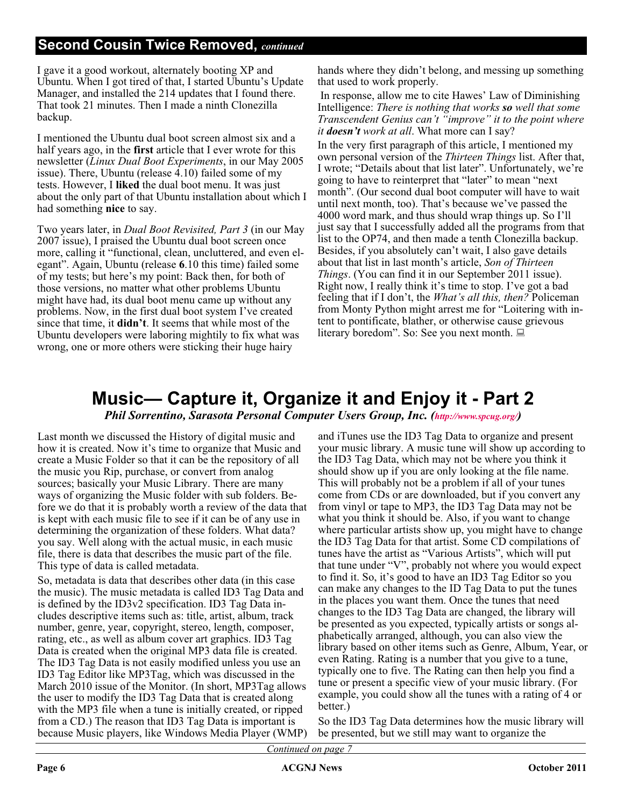# **Second Cousin Twice Removed,** *continued*

I gave it a good workout, alternately booting XP and Ubuntu. When I got tired of that, I started Ubuntu's Update Manager, and installed the 214 updates that I found there. That took 21 minutes. Then I made a ninth Clonezilla backup.

I mentioned the Ubuntu dual boot screen almost six and a half years ago, in the **first** article that I ever wrote for this newsletter (*Linux Dual Boot Experiments*, in our May 2005 issue). There, Ubuntu (release 4.10) failed some of my tests. However, I **liked** the dual boot menu. It was just about the only part of that Ubuntu installation about which I had something **nice** to say.

Two years later, in *Dual Boot Revisited, Part 3* (in our May 2007 issue), I praised the Ubuntu dual boot screen once more, calling it "functional, clean, uncluttered, and even elegant". Again, Ubuntu (release **6**.10 this time) failed some of my tests; but here's my point: Back then, for both of those versions, no matter what other problems Ubuntu might have had, its dual boot menu came up without any problems. Now, in the first dual boot system I've created since that time, it **didn't**. It seems that while most of the Ubuntu developers were laboring mightily to fix what was wrong, one or more others were sticking their huge hairy

hands where they didn't belong, and messing up something that used to work properly.

In response, allow me to cite Hawes' Law of Diminishing Intelligence: *There is nothing that works so well that some Transcendent Genius can't "improve" it to the point where it doesn't work at all*. What more can I say?

In the very first paragraph of this article, I mentioned my own personal version of the *Thirteen Things* list. After that, I wrote; "Details about that list later". Unfortunately, we're going to have to reinterpret that "later" to mean "next month". (Our second dual boot computer will have to wait until next month, too). That's because we've passed the 4000 word mark, and thus should wrap things up. So I'll just say that I successfully added all the programs from that list to the OP74, and then made a tenth Clonezilla backup. Besides, if you absolutely can't wait, I also gave details about that list in last month's article, *Son of Thirteen Things*. (You can find it in our September 2011 issue). Right now, I really think it's time to stop. I've got a bad feeling that if I don't, the *What's all this, then?* Policeman from Monty Python might arrest me for "Loitering with intent to pontificate, blather, or otherwise cause grievous literary boredom". So: See you next month.

# **Music— Capture it, Organize it and Enjoy it - Part 2** *Phil Sorrentino, Sarasota Personal Computer Users Group, Inc. ([http://www.spcug.org/\)](http://www.spcug.org/)*

Last month we discussed the History of digital music and how it is created. Now it's time to organize that Music and create a Music Folder so that it can be the repository of all the music you Rip, purchase, or convert from analog sources; basically your Music Library. There are many ways of organizing the Music folder with sub folders. Before we do that it is probably worth a review of the data that is kept with each music file to see if it can be of any use in determining the organization of these folders. What data? you say. Well along with the actual music, in each music file, there is data that describes the music part of the file. This type of data is called metadata.

So, metadata is data that describes other data (in this case the music). The music metadata is called ID3 Tag Data and is defined by the ID3v2 specification. ID3 Tag Data includes descriptive items such as: title, artist, album, track number, genre, year, copyright, stereo, length, composer, rating, etc., as well as album cover art graphics. ID3 Tag Data is created when the original MP3 data file is created. The ID3 Tag Data is not easily modified unless you use an ID3 Tag Editor like MP3Tag, which was discussed in the March 2010 issue of the Monitor. (In short, MP3Tag allows the user to modify the ID3 Tag Data that is created along with the MP3 file when a tune is initially created, or ripped from a CD.) The reason that ID3 Tag Data is important is because Music players, like Windows Media Player (WMP)

and iTunes use the ID3 Tag Data to organize and present your music library. A music tune will show up according to the ID3 Tag Data, which may not be where you think it should show up if you are only looking at the file name. This will probably not be a problem if all of your tunes come from CDs or are downloaded, but if you convert any from vinyl or tape to MP3, the ID3 Tag Data may not be what you think it should be. Also, if you want to change where particular artists show up, you might have to change the ID3 Tag Data for that artist. Some CD compilations of tunes have the artist as "Various Artists", which will put that tune under "V", probably not where you would expect to find it. So, it's good to have an ID3 Tag Editor so you can make any changes to the ID Tag Data to put the tunes in the places you want them. Once the tunes that need changes to the ID3 Tag Data are changed, the library will be presented as you expected, typically artists or songs alphabetically arranged, although, you can also view the library based on other items such as Genre, Album, Year, or even Rating. Rating is a number that you give to a tune, typically one to five. The Rating can then help you find a tune or present a specific view of your music library. (For example, you could show all the tunes with a rating of 4 or better.)

So the ID3 Tag Data determines how the music library will be presented, but we still may want to organize the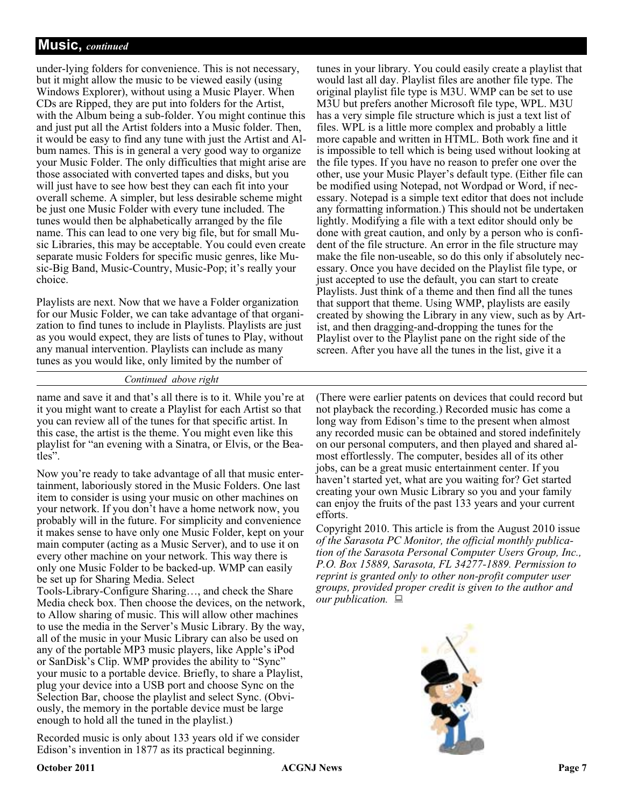# **Music,** *continued*

under-lying folders for convenience. This is not necessary, but it might allow the music to be viewed easily (using Windows Explorer), without using a Music Player. When CDs are Ripped, they are put into folders for the Artist, with the Album being a sub-folder. You might continue this and just put all the Artist folders into a Music folder. Then, it would be easy to find any tune with just the Artist and Album names. This is in general a very good way to organize your Music Folder. The only difficulties that might arise are those associated with converted tapes and disks, but you will just have to see how best they can each fit into your overall scheme. A simpler, but less desirable scheme might be just one Music Folder with every tune included. The tunes would then be alphabetically arranged by the file name. This can lead to one very big file, but for small Music Libraries, this may be acceptable. You could even create separate music Folders for specific music genres, like Music-Big Band, Music-Country, Music-Pop; it's really your choice.

Playlists are next. Now that we have a Folder organization for our Music Folder, we can take advantage of that organization to find tunes to include in Playlists. Playlists are just as you would expect, they are lists of tunes to Play, without any manual intervention. Playlists can include as many tunes as you would like, only limited by the number of

tunes in your library. You could easily create a playlist that would last all day. Playlist files are another file type. The original playlist file type is M3U. WMP can be set to use M3U but prefers another Microsoft file type, WPL. M3U has a very simple file structure which is just a text list of files. WPL is a little more complex and probably a little more capable and written in HTML. Both work fine and it is impossible to tell which is being used without looking at the file types. If you have no reason to prefer one over the other, use your Music Player's default type. (Either file can be modified using Notepad, not Wordpad or Word, if necessary. Notepad is a simple text editor that does not include any formatting information.) This should not be undertaken lightly. Modifying a file with a text editor should only be done with great caution, and only by a person who is confident of the file structure. An error in the file structure may make the file non-useable, so do this only if absolutely necessary. Once you have decided on the Playlist file type, or just accepted to use the default, you can start to create Playlists. Just think of a theme and then find all the tunes that support that theme. Using WMP, playlists are easily created by showing the Library in any view, such as by Artist, and then dragging-and-dropping the tunes for the Playlist over to the Playlist pane on the right side of the screen. After you have all the tunes in the list, give it a

#### *Continued above right*

name and save it and that's all there is to it. While you're at it you might want to create a Playlist for each Artist so that you can review all of the tunes for that specific artist. In this case, the artist is the theme. You might even like this playlist for "an evening with a Sinatra, or Elvis, or the Beatles".

Now you're ready to take advantage of all that music entertainment, laboriously stored in the Music Folders. One last item to consider is using your music on other machines on your network. If you don't have a home network now, you probably will in the future. For simplicity and convenience it makes sense to have only one Music Folder, kept on your main computer (acting as a Music Server), and to use it on every other machine on your network. This way there is only one Music Folder to be backed-up. WMP can easily be set up for Sharing Media. Select

Tools-Library-Configure Sharing…, and check the Share Media check box. Then choose the devices, on the network, to Allow sharing of music. This will allow other machines to use the media in the Server's Music Library. By the way, all of the music in your Music Library can also be used on any of the portable MP3 music players, like Apple's iPod or SanDisk's Clip. WMP provides the ability to "Sync" your music to a portable device. Briefly, to share a Playlist, plug your device into a USB port and choose Sync on the Selection Bar, choose the playlist and select Sync. (Obviously, the memory in the portable device must be large enough to hold all the tuned in the playlist.)

Recorded music is only about 133 years old if we consider Edison's invention in 1877 as its practical beginning.

(There were earlier patents on devices that could record but not playback the recording.) Recorded music has come a long way from Edison's time to the present when almost any recorded music can be obtained and stored indefinitely on our personal computers, and then played and shared almost effortlessly. The computer, besides all of its other jobs, can be a great music entertainment center. If you haven't started yet, what are you waiting for? Get started creating your own Music Library so you and your family can enjoy the fruits of the past 133 years and your current efforts.

Copyright 2010. This article is from the August 2010 issue *of the Sarasota PC Monitor, the official monthly publication of the Sarasota Personal Computer Users Group, Inc., P.O. Box 15889, Sarasota, FL 34277-1889. Permission to reprint is granted only to other non-profit computer user groups, provided proper credit is given to the author and our publication.*

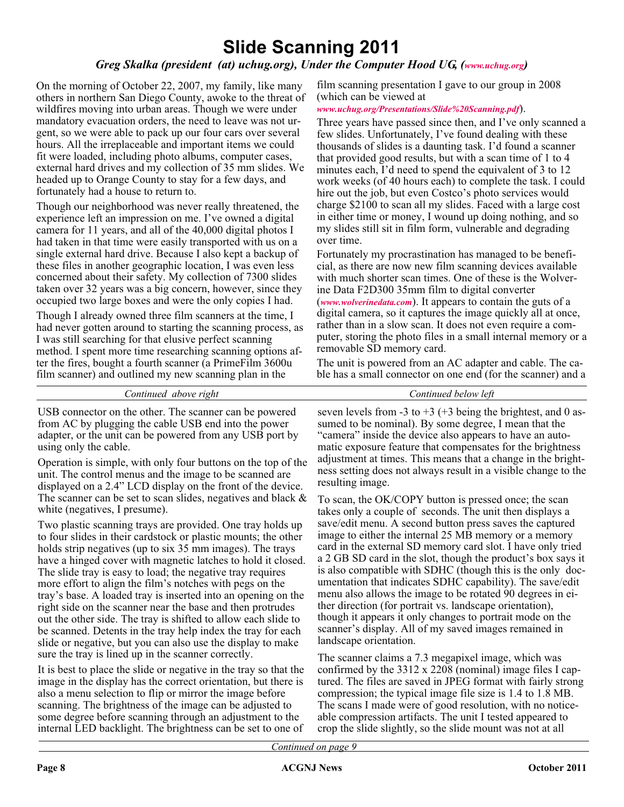# **Slide Scanning 2011**

### *Greg Skalka (president (at) uchug.org), Under the Computer Hood UG, [\(www.uchug.org](http://www.uchug.org))*

On the morning of October 22, 2007, my family, like many others in northern San Diego County, awoke to the threat of wildfires moving into urban areas. Though we were under mandatory evacuation orders, the need to leave was not urgent, so we were able to pack up our four cars over several hours. All the irreplaceable and important items we could fit were loaded, including photo albums, computer cases, external hard drives and my collection of 35 mm slides. We headed up to Orange County to stay for a few days, and fortunately had a house to return to.

Though our neighborhood was never really threatened, the experience left an impression on me. I've owned a digital camera for 11 years, and all of the 40,000 digital photos I had taken in that time were easily transported with us on a single external hard drive. Because I also kept a backup of these files in another geographic location, I was even less concerned about their safety. My collection of 7300 slides taken over 32 years was a big concern, however, since they occupied two large boxes and were the only copies I had.

Though I already owned three film scanners at the time, I had never gotten around to starting the scanning process, as I was still searching for that elusive perfect scanning method. I spent more time researching scanning options after the fires, bought a fourth scanner (a PrimeFilm 3600u film scanner) and outlined my new scanning plan in the

film scanning presentation I gave to our group in 2008 (which can be viewed at

*[www.uchug.org/Presentations/Slide%20Scanning.pdf](http://www.uchug.org/Presentations/Slide%20Scanning.pdf)*).

Three years have passed since then, and I've only scanned a few slides. Unfortunately, I've found dealing with these thousands of slides is a daunting task. I'd found a scanner that provided good results, but with a scan time of 1 to 4 minutes each, I'd need to spend the equivalent of 3 to 12 work weeks (of 40 hours each) to complete the task. I could hire out the job, but even Costco's photo services would charge \$2100 to scan all my slides. Faced with a large cost in either time or money, I wound up doing nothing, and so my slides still sit in film form, vulnerable and degrading over time.

Fortunately my procrastination has managed to be beneficial, as there are now new film scanning devices available with much shorter scan times. One of these is the Wolverine Data F2D300 35mm film to digital converter (*[www.wolverinedata.com](http://www.wolverinedata.com)*). It appears to contain the guts of a digital camera, so it captures the image quickly all at once, rather than in a slow scan. It does not even require a computer, storing the photo files in a small internal memory or a removable SD memory card.

The unit is powered from an AC adapter and cable. The cable has a small connector on one end (for the scanner) and a

*Continued above right Continued below left*

USB connector on the other. The scanner can be powered from AC by plugging the cable USB end into the power adapter, or the unit can be powered from any USB port by using only the cable.

Operation is simple, with only four buttons on the top of the unit. The control menus and the image to be scanned are displayed on a 2.4" LCD display on the front of the device. The scanner can be set to scan slides, negatives and black  $\&$ white (negatives, I presume).

Two plastic scanning trays are provided. One tray holds up to four slides in their cardstock or plastic mounts; the other holds strip negatives (up to six 35 mm images). The trays have a hinged cover with magnetic latches to hold it closed. The slide tray is easy to load; the negative tray requires more effort to align the film's notches with pegs on the tray's base. A loaded tray is inserted into an opening on the right side on the scanner near the base and then protrudes out the other side. The tray is shifted to allow each slide to be scanned. Detents in the tray help index the tray for each slide or negative, but you can also use the display to make sure the tray is lined up in the scanner correctly.

It is best to place the slide or negative in the tray so that the image in the display has the correct orientation, but there is also a menu selection to flip or mirror the image before scanning. The brightness of the image can be adjusted to some degree before scanning through an adjustment to the internal LED backlight. The brightness can be set to one of

seven levels from -3 to +3 (+3 being the brightest, and 0 assumed to be nominal). By some degree, I mean that the "camera" inside the device also appears to have an automatic exposure feature that compensates for the brightness adjustment at times. This means that a change in the brightness setting does not always result in a visible change to the resulting image.

To scan, the OK/COPY button is pressed once; the scan takes only a couple of seconds. The unit then displays a save/edit menu. A second button press saves the captured image to either the internal 25 MB memory or a memory card in the external SD memory card slot. I have only tried a 2 GB SD card in the slot, though the product's box says it is also compatible with SDHC (though this is the only documentation that indicates SDHC capability). The save/edit menu also allows the image to be rotated 90 degrees in either direction (for portrait vs. landscape orientation), though it appears it only changes to portrait mode on the scanner's display. All of my saved images remained in landscape orientation.

The scanner claims a 7.3 megapixel image, which was confirmed by the 3312 x 2208 (nominal) image files I captured. The files are saved in JPEG format with fairly strong compression; the typical image file size is 1.4 to 1.8 MB. The scans I made were of good resolution, with no noticeable compression artifacts. The unit I tested appeared to crop the slide slightly, so the slide mount was not at all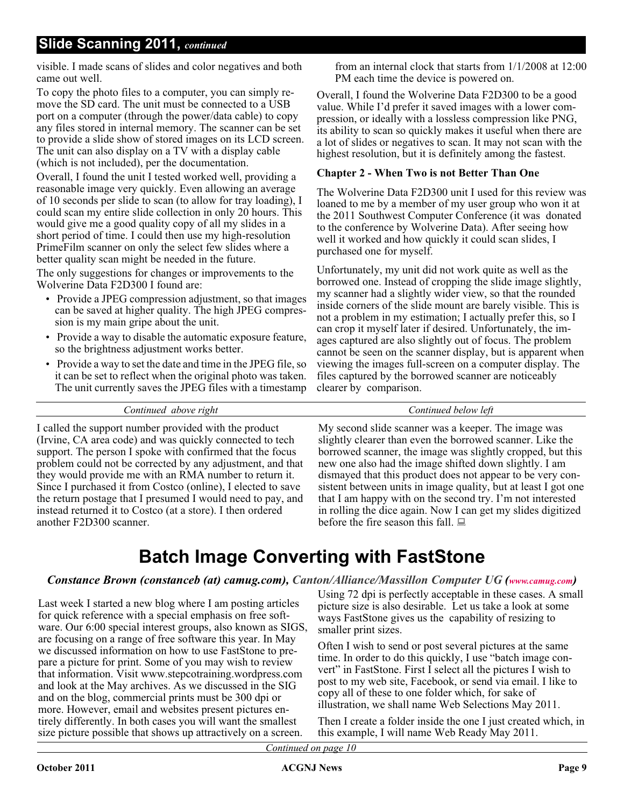# **Slide Scanning 2011,** *continued*

visible. I made scans of slides and color negatives and both came out well.

To copy the photo files to a computer, you can simply remove the SD card. The unit must be connected to a USB port on a computer (through the power/data cable) to copy any files stored in internal memory. The scanner can be set to provide a slide show of stored images on its LCD screen. The unit can also display on a TV with a display cable (which is not included), per the documentation.

Overall, I found the unit I tested worked well, providing a reasonable image very quickly. Even allowing an average of 10 seconds per slide to scan (to allow for tray loading), I could scan my entire slide collection in only 20 hours. This would give me a good quality copy of all my slides in a short period of time. I could then use my high-resolution PrimeFilm scanner on only the select few slides where a better quality scan might be needed in the future.

The only suggestions for changes or improvements to the Wolverine Data F2D300 I found are:

- Provide a JPEG compression adjustment, so that images can be saved at higher quality. The high JPEG compression is my main gripe about the unit.
- Provide a way to disable the automatic exposure feature, so the brightness adjustment works better.
- Provide a way to set the date and time in the JPEG file, so it can be set to reflect when the original photo was taken. The unit currently saves the JPEG files with a timestamp

instead returned it to Costco (at a store). I then ordered

another F2D300 scanner.

from an internal clock that starts from 1/1/2008 at 12:00 PM each time the device is powered on.

Overall, I found the Wolverine Data F2D300 to be a good value. While I'd prefer it saved images with a lower compression, or ideally with a lossless compression like PNG, its ability to scan so quickly makes it useful when there are a lot of slides or negatives to scan. It may not scan with the highest resolution, but it is definitely among the fastest.

#### **Chapter 2 - When Two is not Better Than One**

The Wolverine Data F2D300 unit I used for this review was loaned to me by a member of my user group who won it at the 2011 Southwest Computer Conference (it was donated to the conference by Wolverine Data). After seeing how well it worked and how quickly it could scan slides, I purchased one for myself.

Unfortunately, my unit did not work quite as well as the borrowed one. Instead of cropping the slide image slightly, my scanner had a slightly wider view, so that the rounded inside corners of the slide mount are barely visible. This is not a problem in my estimation; I actually prefer this, so I can crop it myself later if desired. Unfortunately, the images captured are also slightly out of focus. The problem cannot be seen on the scanner display, but is apparent when viewing the images full-screen on a computer display. The files captured by the borrowed scanner are noticeably clearer by comparison.

| Continued above right                                        | Continued below left                                           |
|--------------------------------------------------------------|----------------------------------------------------------------|
| I called the support number provided with the product        | My second slide scanner was a keeper. The image was            |
| (Irvine, CA area code) and was quickly connected to tech     | slightly clearer than even the borrowed scanner. Like the      |
| support. The person I spoke with confirmed that the focus    | borrowed scanner, the image was slightly cropped, but this     |
| problem could not be corrected by any adjustment, and that   | new one also had the image shifted down slightly. I am         |
| they would provide me with an RMA number to return it.       | dismayed that this product does not appear to be very con-     |
| Since I purchased it from Costco (online), I elected to save | sistent between units in image quality, but at least I got one |
| the return postage that I presumed I would need to pay, and  | that I am happy with on the second try. I'm not interested     |

# **Batch Image Converting with FastStone**

### *Constance Brown (constanceb (at) camug.com), Canton/Alliance/Massillon Computer UG ([www.camug.com](http://www.camug.com))*

Last week I started a new blog where I am posting articles for quick reference with a special emphasis on free software. Our 6:00 special interest groups, also known as SIGS, are focusing on a range of free software this year. In May we discussed information on how to use FastStone to prepare a picture for print. Some of you may wish to review that information. Visit www.stepcotraining.wordpress.com and look at the May archives. As we discussed in the SIG and on the blog, commercial prints must be 300 dpi or more. However, email and websites present pictures entirely differently. In both cases you will want the smallest size picture possible that shows up attractively on a screen.

Using 72 dpi is perfectly acceptable in these cases. A small picture size is also desirable. Let us take a look at some ways FastStone gives us the capability of resizing to smaller print sizes.

in rolling the dice again. Now I can get my slides digitized

before the fire season this fall.  $\Box$ 

Often I wish to send or post several pictures at the same time. In order to do this quickly, I use "batch image convert" in FastStone. First I select all the pictures I wish to post to my web site, Facebook, or send via email. I like to copy all of these to one folder which, for sake of illustration, we shall name Web Selections May 2011.

Then I create a folder inside the one I just created which, in this example, I will name Web Ready May 2011.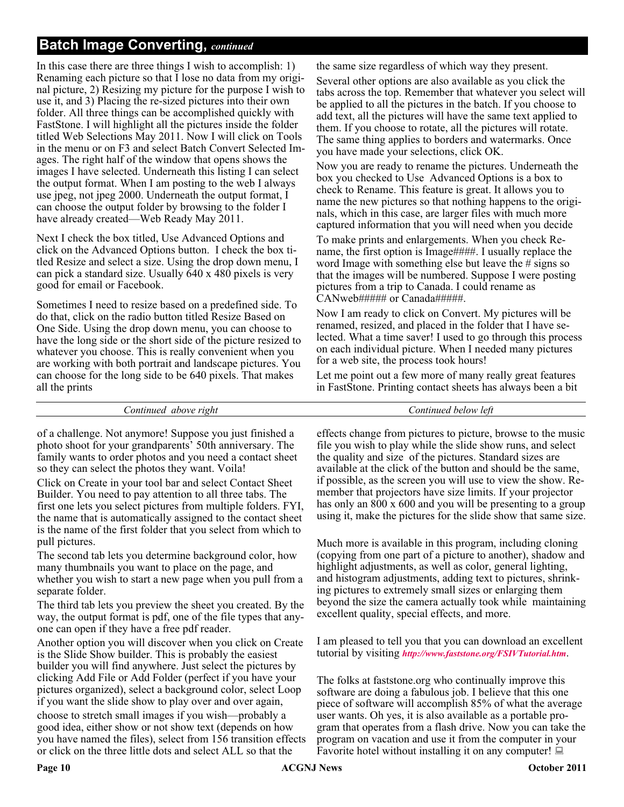# **Batch Image Converting,** *continued*

In this case there are three things I wish to accomplish: 1) Renaming each picture so that I lose no data from my original picture, 2) Resizing my picture for the purpose I wish to use it, and 3) Placing the re-sized pictures into their own folder. All three things can be accomplished quickly with FastStone. I will highlight all the pictures inside the folder titled Web Selections May 2011. Now I will click on Tools in the menu or on F3 and select Batch Convert Selected Images. The right half of the window that opens shows the images I have selected. Underneath this listing I can select the output format. When I am posting to the web I always use jpeg, not jpeg 2000. Underneath the output format, I can choose the output folder by browsing to the folder I have already created—Web Ready May 2011.

Next I check the box titled, Use Advanced Options and click on the Advanced Options button. I check the box titled Resize and select a size. Using the drop down menu, I can pick a standard size. Usually 640 x 480 pixels is very good for email or Facebook.

Sometimes I need to resize based on a predefined side. To do that, click on the radio button titled Resize Based on One Side. Using the drop down menu, you can choose to have the long side or the short side of the picture resized to whatever you choose. This is really convenient when you are working with both portrait and landscape pictures. You can choose for the long side to be 640 pixels. That makes all the prints

the same size regardless of which way they present.

Several other options are also available as you click the tabs across the top. Remember that whatever you select will be applied to all the pictures in the batch. If you choose to add text, all the pictures will have the same text applied to them. If you choose to rotate, all the pictures will rotate. The same thing applies to borders and watermarks. Once you have made your selections, click OK.

Now you are ready to rename the pictures. Underneath the box you checked to Use Advanced Options is a box to check to Rename. This feature is great. It allows you to name the new pictures so that nothing happens to the originals, which in this case, are larger files with much more captured information that you will need when you decide

To make prints and enlargements. When you check Rename, the first option is Image####. I usually replace the word Image with something else but leave the # signs so that the images will be numbered. Suppose I were posting pictures from a trip to Canada. I could rename as CANweb##### or Canada#####.

Now I am ready to click on Convert. My pictures will be renamed, resized, and placed in the folder that I have selected. What a time saver! I used to go through this process on each individual picture. When I needed many pictures for a web site, the process took hours!

Let me point out a few more of many really great features in FastStone. Printing contact sheets has always been a bit

|  | <b>Contract Contract</b><br>$\alpha$<br>70th<br>177<br>,,, | let<br>ΠF<br>. |
|--|------------------------------------------------------------|----------------|
|--|------------------------------------------------------------|----------------|

of a challenge. Not anymore! Suppose you just finished a photo shoot for your grandparents' 50th anniversary. The family wants to order photos and you need a contact sheet so they can select the photos they want. Voila!

Click on Create in your tool bar and select Contact Sheet Builder. You need to pay attention to all three tabs. The first one lets you select pictures from multiple folders. FYI, the name that is automatically assigned to the contact sheet is the name of the first folder that you select from which to pull pictures.

The second tab lets you determine background color, how many thumbnails you want to place on the page, and whether you wish to start a new page when you pull from a separate folder.

The third tab lets you preview the sheet you created. By the way, the output format is pdf, one of the file types that anyone can open if they have a free pdf reader.

Another option you will discover when you click on Create is the Slide Show builder. This is probably the easiest builder you will find anywhere. Just select the pictures by clicking Add File or Add Folder (perfect if you have your pictures organized), select a background color, select Loop if you want the slide show to play over and over again, choose to stretch small images if you wish—probably a good idea, either show or not show text (depends on how you have named the files), select from 156 transition effects or click on the three little dots and select ALL so that the

effects change from pictures to picture, browse to the music file you wish to play while the slide show runs, and select the quality and size of the pictures. Standard sizes are available at the click of the button and should be the same, if possible, as the screen you will use to view the show. Remember that projectors have size limits. If your projector has only an 800 x 600 and you will be presenting to a group using it, make the pictures for the slide show that same size.

Much more is available in this program, including cloning (copying from one part of a picture to another), shadow and highlight adjustments, as well as color, general lighting, and histogram adjustments, adding text to pictures, shrinking pictures to extremely small sizes or enlarging them beyond the size the camera actually took while maintaining excellent quality, special effects, and more.

I am pleased to tell you that you can download an excellent tutorial by visiting *<http://www.faststone.org/FSIVTutorial.htm>*.

The folks at faststone.org who continually improve this software are doing a fabulous job. I believe that this one piece of software will accomplish 85% of what the average user wants. Oh yes, it is also available as a portable program that operates from a flash drive. Now you can take the program on vacation and use it from the computer in your Favorite hotel without installing it on any computer!  $\Box$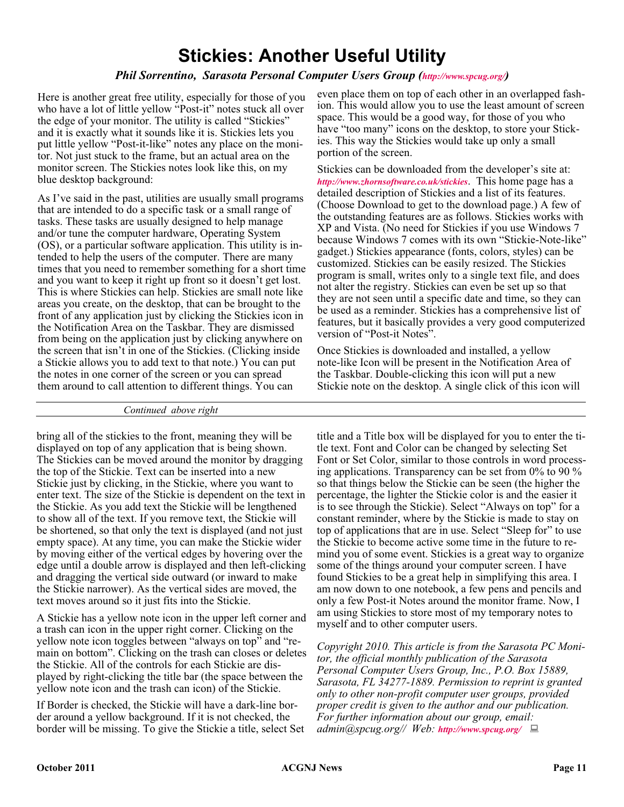# **Stickies: Another Useful Utility**

# *Phil Sorrentino, Sarasota Personal Computer Users Group ([http://www.spcug.org/\)](http://www.spcug.org/)*

Here is another great free utility, especially for those of you who have a lot of little yellow "Post-it" notes stuck all over the edge of your monitor. The utility is called "Stickies" and it is exactly what it sounds like it is. Stickies lets you put little yellow "Post-it-like" notes any place on the monitor. Not just stuck to the frame, but an actual area on the monitor screen. The Stickies notes look like this, on my blue desktop background:

As I've said in the past, utilities are usually small programs that are intended to do a specific task or a small range of tasks. These tasks are usually designed to help manage and/or tune the computer hardware, Operating System (OS), or a particular software application. This utility is intended to help the users of the computer. There are many times that you need to remember something for a short time and you want to keep it right up front so it doesn't get lost. This is where Stickies can help. Stickies are small note like areas you create, on the desktop, that can be brought to the front of any application just by clicking the Stickies icon in the Notification Area on the Taskbar. They are dismissed from being on the application just by clicking anywhere on the screen that isn't in one of the Stickies. (Clicking inside a Stickie allows you to add text to that note.) You can put the notes in one corner of the screen or you can spread them around to call attention to different things. You can

even place them on top of each other in an overlapped fashion. This would allow you to use the least amount of screen space. This would be a good way, for those of you who have "too many" icons on the desktop, to store your Stickies. This way the Stickies would take up only a small portion of the screen.

Stickies can be downloaded from the developer's site at: *<http://www.zhornsoftware.co.uk/stickies>*. This home page has a detailed description of Stickies and a list of its features. (Choose Download to get to the download page.) A few of the outstanding features are as follows. Stickies works with XP and Vista. (No need for Stickies if you use Windows 7 because Windows 7 comes with its own "Stickie-Note-like" gadget.) Stickies appearance (fonts, colors, styles) can be customized. Stickies can be easily resized. The Stickies program is small, writes only to a single text file, and does not alter the registry. Stickies can even be set up so that they are not seen until a specific date and time, so they can be used as a reminder. Stickies has a comprehensive list of features, but it basically provides a very good computerized version of "Post-it Notes".

Once Stickies is downloaded and installed, a yellow note-like Icon will be present in the Notification Area of the Taskbar. Double-clicking this icon will put a new Stickie note on the desktop. A single click of this icon will

#### *Continued above right*

bring all of the stickies to the front, meaning they will be displayed on top of any application that is being shown. The Stickies can be moved around the monitor by dragging the top of the Stickie. Text can be inserted into a new Stickie just by clicking, in the Stickie, where you want to enter text. The size of the Stickie is dependent on the text in the Stickie. As you add text the Stickie will be lengthened to show all of the text. If you remove text, the Stickie will be shortened, so that only the text is displayed (and not just empty space). At any time, you can make the Stickie wider by moving either of the vertical edges by hovering over the edge until a double arrow is displayed and then left-clicking and dragging the vertical side outward (or inward to make the Stickie narrower). As the vertical sides are moved, the text moves around so it just fits into the Stickie.

A Stickie has a yellow note icon in the upper left corner and a trash can icon in the upper right corner. Clicking on the yellow note icon toggles between "always on top" and "remain on bottom". Clicking on the trash can closes or deletes the Stickie. All of the controls for each Stickie are displayed by right-clicking the title bar (the space between the yellow note icon and the trash can icon) of the Stickie.

If Border is checked, the Stickie will have a dark-line border around a yellow background. If it is not checked, the border will be missing. To give the Stickie a title, select Set title and a Title box will be displayed for you to enter the title text. Font and Color can be changed by selecting Set Font or Set Color, similar to those controls in word processing applications. Transparency can be set from 0% to 90 % so that things below the Stickie can be seen (the higher the percentage, the lighter the Stickie color is and the easier it is to see through the Stickie). Select "Always on top" for a constant reminder, where by the Stickie is made to stay on top of applications that are in use. Select "Sleep for" to use the Stickie to become active some time in the future to remind you of some event. Stickies is a great way to organize some of the things around your computer screen. I have found Stickies to be a great help in simplifying this area. I am now down to one notebook, a few pens and pencils and only a few Post-it Notes around the monitor frame. Now, I am using Stickies to store most of my temporary notes to myself and to other computer users.

*Copyright 2010. This article is from the Sarasota PC Monitor, the official monthly publication of the Sarasota Personal Computer Users Group, Inc., P.O. Box 15889, Sarasota, FL 34277-1889. Permission to reprint is granted only to other non-profit computer user groups, provided proper credit is given to the author and our publication. For further information about our group, email: admin@spcug.org// Web: <http://www.spcug.org/>*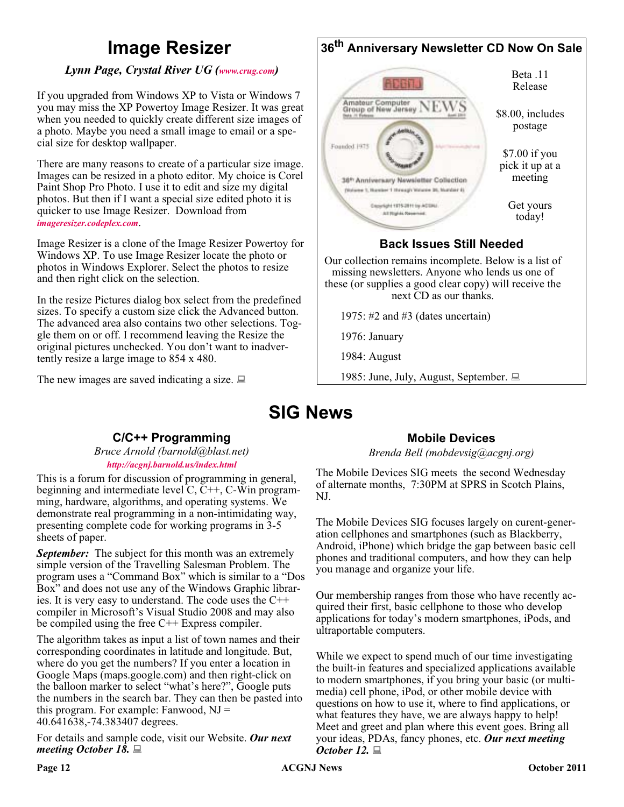# **Image Resizer**

# *Lynn Page, Crystal River UG ([www.crug.com\)](http://www.crug.com)*

If you upgraded from Windows XP to Vista or Windows 7 you may miss the XP Powertoy Image Resizer. It was great when you needed to quickly create different size images of a photo. Maybe you need a small image to email or a special size for desktop wallpaper.

There are many reasons to create of a particular size image. Images can be resized in a photo editor. My choice is Corel Paint Shop Pro Photo. I use it to edit and size my digital photos. But then if I want a special size edited photo it is quicker to use Image Resizer. Download from *[imageresizer.codeplex.com](http://imageresizer.codeplex.com)*.

Image Resizer is a clone of the Image Resizer Powertoy for Windows XP. To use Image Resizer locate the photo or photos in Windows Explorer. Select the photos to resize and then right click on the selection.

In the resize Pictures dialog box select from the predefined sizes. To specify a custom size click the Advanced button. The advanced area also contains two other selections. Toggle them on or off. I recommend leaving the Resize the original pictures unchecked. You don't want to inadvertently resize a large image to 854 x 480.

The new images are saved indicating a size.  $\Box$ 



# **Back Issues Still Needed**

Our collection remains incomplete. Below is a list of missing newsletters. Anyone who lends us one of these (or supplies a good clear copy) will receive the next CD as our thanks.

1975: #2 and #3 (dates uncertain)

1976: January

1984: August

1985: June, July, August, September.

# **SIG News**

# **C/C++ Programming**

*Bruce Arnold (barnold@blast.net) <http://acgnj.barnold.us/index.html>*

This is a forum for discussion of programming in general, beginning and intermediate level C, C++, C-Win programming, hardware, algorithms, and operating systems. We demonstrate real programming in a non-intimidating way, presenting complete code for working programs in 3-5 sheets of paper.

*September:* The subject for this month was an extremely simple version of the Travelling Salesman Problem. The program uses a "Command Box" which is similar to a "Dos Box" and does not use any of the Windows Graphic libraries. It is very easy to understand. The code uses the C++ compiler in Microsoft's Visual Studio 2008 and may also be compiled using the free C++ Express compiler.

The algorithm takes as input a list of town names and their corresponding coordinates in latitude and longitude. But, where do you get the numbers? If you enter a location in Google Maps (maps.google.com) and then right-click on the balloon marker to select "what's here?", Google puts the numbers in the search bar. They can then be pasted into this program. For example: Fanwood,  $NJ =$ 40.641638,-74.383407 degrees.

For details and sample code, visit our Website. *Our next meeting October 18.*

### **Mobile Devices**

*Brenda Bell (mobdevsig@acgnj.org)*

The Mobile Devices SIG meets the second Wednesday of alternate months, 7:30PM at SPRS in Scotch Plains, NJ.

The Mobile Devices SIG focuses largely on curent-generation cellphones and smartphones (such as Blackberry, Android, iPhone) which bridge the gap between basic cell phones and traditional computers, and how they can help you manage and organize your life.

Our membership ranges from those who have recently acquired their first, basic cellphone to those who develop applications for today's modern smartphones, iPods, and ultraportable computers.

While we expect to spend much of our time investigating the built-in features and specialized applications available to modern smartphones, if you bring your basic (or multimedia) cell phone, iPod, or other mobile device with questions on how to use it, where to find applications, or what features they have, we are always happy to help! Meet and greet and plan where this event goes. Bring all your ideas, PDAs, fancy phones, etc. *Our next meeting October 12.*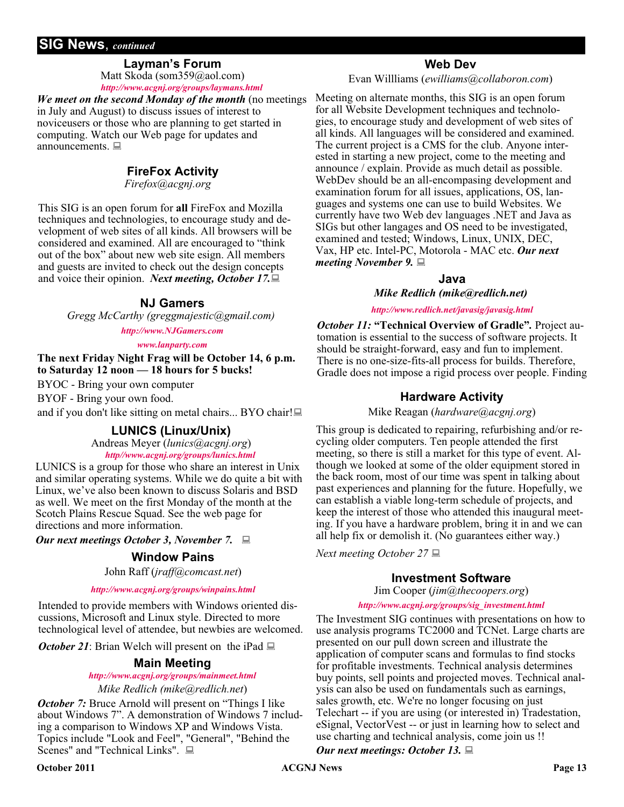# **SIG News**, *continued*

### **Layman's Forum**

Matt Skoda (som359@aol.com) *<http://www.acgnj.org/groups/laymans.html>*

*We meet on the second Monday of the month* (no meetings in July and August) to discuss issues of interest to noviceusers or those who are planning to get started in computing. Watch our Web page for updates and announcements.  $\Box$ 

# **FireFox Activity**

*Firefox@acgnj.org*

This SIG is an open forum for **all** FireFox and Mozilla techniques and technologies, to encourage study and development of web sites of all kinds. All browsers will be considered and examined. All are encouraged to "think out of the box" about new web site esign. All members and guests are invited to check out the design concepts and voice their opinion. *Next meeting, October 17.*

#### **NJ Gamers**

*Gregg McCarthy (greggmajestic@gmail.com)*

#### *<http://www.NJGamers.com>*

*[www.lanparty.com](http://www.lanparty.com)*

**The next Friday Night Frag will be October 14, 6 p.m. to Saturday 12 noon — 18 hours for 5 bucks!**

BYOC - Bring your own computer

BYOF - Bring your own food.

and if you don't like sitting on metal chairs... BYO chair!

#### **LUNICS (Linux/Unix)**

Andreas Meyer (*lunics@acgnj.org*) *<http//www.acgnj.org/groups/lunics.html>*

LUNICS is a group for those who share an interest in Unix and similar operating systems. While we do quite a bit with Linux, we've also been known to discuss Solaris and BSD as well. We meet on the first Monday of the month at the Scotch Plains Rescue Squad. See the web page for directions and more information.

*Our next meetings October 3, November 7.*

#### **Window Pains**

John Raff (*jraff@comcast.net*)

#### *<http://www.acgnj.org/groups/winpains.html>*

Intended to provide members with Windows oriented discussions, Microsoft and Linux style. Directed to more technological level of attendee, but newbies are welcomed.

*October 21*: Brian Welch will present on the iPad  $\Box$ 

### **Main Meeting**

#### *<http://www.acgnj.org/groups/mainmeet.html>*

*Mike Redlich (mike@redlich.net*)

*October 7:* Bruce Arnold will present on "Things I like about Windows 7". A demonstration of Windows 7 including a comparison to Windows XP and Windows Vista. Topics include "Look and Feel", "General", "Behind the Scenes" and "Technical Links".

### **Web Dev**

#### Evan Willliams (*ewilliams@collaboron.com*)

Meeting on alternate months, this SIG is an open forum for all Website Development techniques and technologies, to encourage study and development of web sites of all kinds. All languages will be considered and examined. The current project is a CMS for the club. Anyone interested in starting a new project, come to the meeting and announce / explain. Provide as much detail as possible. WebDev should be an all-encompasing development and examination forum for all issues, applications, OS, languages and systems one can use to build Websites. We currently have two Web dev languages .NET and Java as SIGs but other langages and OS need to be investigated, examined and tested; Windows, Linux, UNIX, DEC, Vax, HP etc. Intel-PC, Motorola - MAC etc. *Our next meeting November 9.*

#### **Java**

*Mike Redlich (mike@redlich.net)*

*<http://www.redlich.net/javasig/javasig.html>*

*October 11:* **"Technical Overview of Gradle"***.* Project automation is essential to the success of software projects. It should be straight-forward, easy and fun to implement. There is no one-size-fits-all process for builds. Therefore, Gradle does not impose a rigid process over people. Finding

# **Hardware Activity**

Mike Reagan (*hardware@acgnj.org*)

This group is dedicated to repairing, refurbishing and/or recycling older computers. Ten people attended the first meeting, so there is still a market for this type of event. Although we looked at some of the older equipment stored in the back room, most of our time was spent in talking about past experiences and planning for the future. Hopefully, we can establish a viable long-term schedule of projects, and keep the interest of those who attended this inaugural meeting. If you have a hardware problem, bring it in and we can all help fix or demolish it. (No guarantees either way.)

*Next meeting October 27*

### **Investment Software**

Jim Cooper (*jim@thecoopers.org*)

#### *[http://www.acgnj.org/groups/sig\\_investment.html](http://www.acgnj.org/groups/sig_investment.html)*

The Investment SIG continues with presentations on how to use analysis programs TC2000 and TCNet. Large charts are presented on our pull down screen and illustrate the application of computer scans and formulas to find stocks for profitable investments. Technical analysis determines buy points, sell points and projected moves. Technical analysis can also be used on fundamentals such as earnings, sales growth, etc. We're no longer focusing on just Telechart -- if you are using (or interested in) Tradestation, eSignal, VectorVest -- or just in learning how to select and use charting and technical analysis, come join us !!

*Our next meetings: October 13.*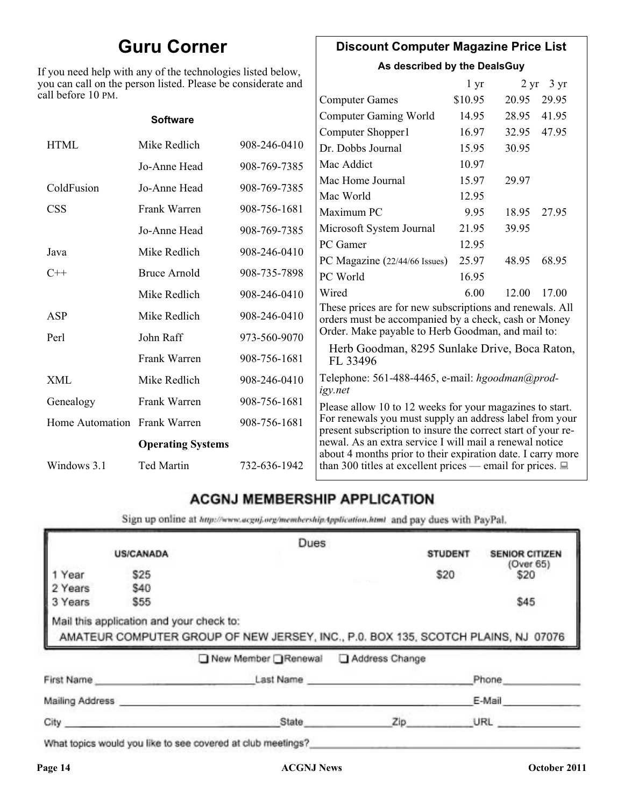# **Guru Corner**

If you need help with any of the technologies listed below, you can call on the person listed. Please be considerate and ca

# **Discount Computer Magazine Price List**

**As described by the DealsGuy**

| ou can call on the person listed. Please be considerate and<br>ll before 10 PM. |                     |              | 1 <sub>yr</sub>                                                                                                         |         | $2 \text{ yr}$ 3 yr |       |
|---------------------------------------------------------------------------------|---------------------|--------------|-------------------------------------------------------------------------------------------------------------------------|---------|---------------------|-------|
|                                                                                 |                     |              | <b>Computer Games</b>                                                                                                   | \$10.95 | 20.95               | 29.95 |
|                                                                                 | <b>Software</b>     |              | <b>Computer Gaming World</b>                                                                                            | 14.95   | 28.95               | 41.95 |
|                                                                                 |                     |              | Computer Shopper1                                                                                                       | 16.97   | 32.95               | 47.95 |
| <b>HTML</b>                                                                     | Mike Redlich        | 908-246-0410 | Dr. Dobbs Journal                                                                                                       | 15.95   | 30.95               |       |
|                                                                                 | Jo-Anne Head        | 908-769-7385 | Mac Addict                                                                                                              | 10.97   |                     |       |
| ColdFusion                                                                      | Jo-Anne Head        | 908-769-7385 | Mac Home Journal                                                                                                        | 15.97   | 29.97               |       |
|                                                                                 |                     |              | Mac World                                                                                                               | 12.95   |                     |       |
| <b>CSS</b>                                                                      | Frank Warren        | 908-756-1681 | Maximum PC                                                                                                              | 9.95    | 18.95               | 27.95 |
|                                                                                 | Jo-Anne Head        | 908-769-7385 | Microsoft System Journal                                                                                                | 21.95   | 39.95               |       |
| Java                                                                            | Mike Redlich        | 908-246-0410 | PC Gamer                                                                                                                | 12.95   |                     |       |
|                                                                                 |                     |              | PC Magazine (22/44/66 Issues)                                                                                           | 25.97   | 48.95               | 68.95 |
| $C++$                                                                           | <b>Bruce Arnold</b> | 908-735-7898 | PC World                                                                                                                | 16.95   |                     |       |
|                                                                                 | Mike Redlich        | 908-246-0410 | Wired                                                                                                                   | 6.00    | 12.00               | 17.00 |
| ASP                                                                             | Mike Redlich        | 908-246-0410 | These prices are for new subscriptions and renewals. All<br>orders must be accompanied by a check, cash or Money        |         |                     |       |
| Perl                                                                            | John Raff           | 973-560-9070 | Order. Make payable to Herb Goodman, and mail to:                                                                       |         |                     |       |
|                                                                                 | Frank Warren        | 908-756-1681 | Herb Goodman, 8295 Sunlake Drive, Boca Raton,<br>FL 33496                                                               |         |                     |       |
| XML                                                                             | Mike Redlich        | 908-246-0410 | Telephone: 561-488-4465, e-mail: hgoodman@prod-<br>igy.net                                                              |         |                     |       |
| Genealogy                                                                       | Frank Warren        | 908-756-1681 | Please allow 10 to 12 weeks for your magazines to start.                                                                |         |                     |       |
| Home Automation Frank Warren                                                    |                     | 908-756-1681 | For renewals you must supply an address label from your<br>present subscription to insure the correct start of your re- |         |                     |       |
| <b>Operating Systems</b>                                                        |                     |              | newal. As an extra service I will mail a renewal notice<br>about 4 months prior to their expiration date. I carry more  |         |                     |       |
| 732-636-1942<br>Windows 3.1<br><b>Ted Martin</b>                                |                     |              | than 300 titles at excellent prices — email for prices. $\Box$                                                          |         |                     |       |

# **ACGNJ MEMBERSHIP APPLICATION**

Sign up online at http://www.acguj.org/membershipApplication.html and pay dues with PayPal.

|                            |                                                                       | Dues                                                                                                                   |                |                           |
|----------------------------|-----------------------------------------------------------------------|------------------------------------------------------------------------------------------------------------------------|----------------|---------------------------|
|                            | <b>US/CANADA</b>                                                      |                                                                                                                        | <b>STUDENT</b> | <b>SENIOR CITIZEN</b>     |
| Year<br>2 Years<br>3 Years | \$25<br>\$40<br>\$55                                                  |                                                                                                                        | \$20           | (Over 65)<br>\$20<br>\$45 |
|                            |                                                                       |                                                                                                                        |                |                           |
|                            | Mail this application and your check to:<br>AMATEUR COMPUTER GROUP OF | AMATEUR COMPUTER GROUP OF NEW JERSEY, INC., P.0. BOX 135, SCOTCH PLAINS, NJ 07076<br>New Member Renewal Address Change |                |                           |
| First Name                 |                                                                       | Last Name                                                                                                              |                | Phone                     |
| Mailing Address            |                                                                       |                                                                                                                        |                | E-Mail                    |

What topics would you like to see covered at club meetings?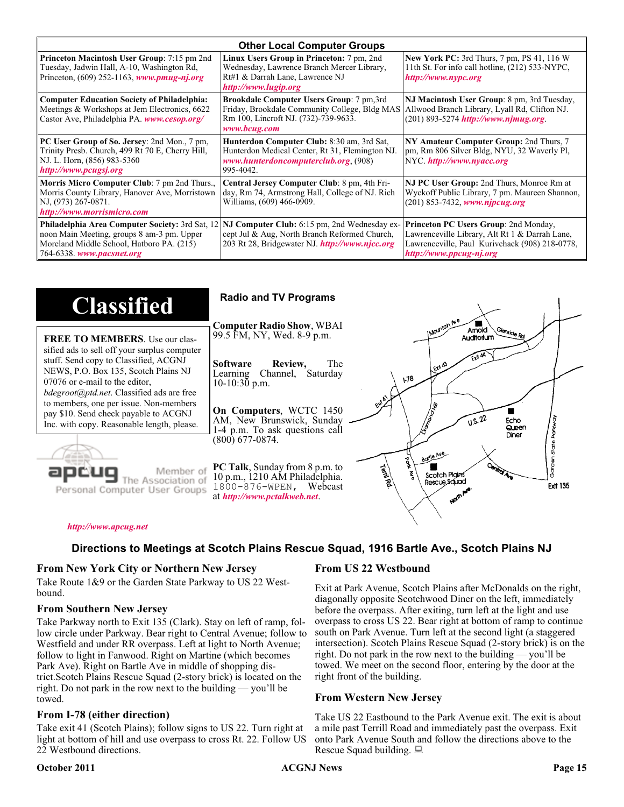| <b>Other Local Computer Groups</b>                                                                                                                                             |                                                                                                                                                           |                                                                                                                                                                      |  |  |
|--------------------------------------------------------------------------------------------------------------------------------------------------------------------------------|-----------------------------------------------------------------------------------------------------------------------------------------------------------|----------------------------------------------------------------------------------------------------------------------------------------------------------------------|--|--|
| <b>Princeton Macintosh User Group:</b> 7:15 pm 2nd<br>Tuesday, Jadwin Hall, A-10, Washington Rd,<br>Princeton, $(609)$ 252-1163, www.pmug-nj.org                               | Linux Users Group in Princeton: 7 pm, 2nd<br>Wednesday, Lawrence Branch Mercer Library,<br>Rt#1 & Darrah Lane, Lawrence NJ<br>http://www.lugip.org        | <b>New York PC:</b> 3rd Thurs, 7 pm, PS 41, 116 W<br>11th St. For info call hotline, (212) 533-NYPC,<br>http://www.nypc.org                                          |  |  |
| <b>Computer Education Society of Philadelphia:</b><br>Meetings & Workshops at Jem Electronics, 6622<br>Castor Ave, Philadelphia PA. www.cesop.org/                             | <b>Brookdale Computer Users Group:</b> 7 pm, 3rd<br>Friday, Brookdale Community College, Bldg MAS<br>Rm 100, Lincroft NJ. (732)-739-9633.<br>www.bcug.com | NJ Macintosh User Group: 8 pm, 3rd Tuesday,<br>Allwood Branch Library, Lyall Rd, Clifton NJ.<br>$(201) 893 - 5274$ http://www.njmug.org                              |  |  |
| PC User Group of So. Jersey: 2nd Mon., 7 pm,<br>Trinity Presb. Church, 499 Rt 70 E, Cherry Hill,<br>NJ. L. Horn, (856) 983-5360<br>http://www.pcugsj.org                       | Hunterdon Computer Club: 8:30 am, 3rd Sat,<br>Hunterdon Medical Center, Rt 31, Flemington NJ.<br>www.hunterdoncomputerclub.org. (908)<br>995-4042.        | NY Amateur Computer Group: 2nd Thurs, 7<br>pm, Rm 806 Silver Bldg, NYU, 32 Waverly Pl,<br>NYC http://www.nyacc.org                                                   |  |  |
| Morris Micro Computer Club: 7 pm 2nd Thurs.,<br>Morris County Library, Hanover Ave, Morristown<br>NJ, (973) 267-0871.<br>http://www.morrismicro.com                            | Central Jersey Computer Club: 8 pm, 4th Fri-<br>day, Rm 74, Armstrong Hall, College of NJ. Rich<br>Williams, (609) 466-0909.                              | NJ PC User Group: 2nd Thurs, Monroe Rm at<br>Wyckoff Public Library, 7 pm. Maureen Shannon,<br>$(201)$ 853-7432, www.njpcug.org                                      |  |  |
| <b>Philadelphia Area Computer Society: 3rd Sat, 12</b><br>noon Main Meeting, groups 8 am-3 pm. Upper<br>Moreland Middle School, Hatboro PA. (215)<br>764-6338. www.pacsnet.org | NJ Computer Club: 6:15 pm, 2nd Wednesday ex-<br>cept Jul & Aug, North Branch Reformed Church,<br>203 Rt 28, Bridgewater NJ. http://www.njcc.org           | Princeton PC Users Group: 2nd Monday,<br>Lawrenceville Library, Alt Rt 1 & Darrah Lane,<br>Lawrenceville, Paul Kurivchack (908) 218-0778,<br>http://www.ppcug-nj.org |  |  |

| <b>Classified</b>                                                                                                                                                                                                                                                                                      | <b>Radio and TV Programs</b>                                                                                                                                                                                                     |
|--------------------------------------------------------------------------------------------------------------------------------------------------------------------------------------------------------------------------------------------------------------------------------------------------------|----------------------------------------------------------------------------------------------------------------------------------------------------------------------------------------------------------------------------------|
| <b>FREE TO MEMBERS.</b> Use our clas-<br>sified ads to sell off your surplus computer<br>stuff. Send copy to Classified, ACGNJ<br>NEWS, P.O. Box 135, Scotch Plains NJ<br>07076 or e-mail to the editor,<br><i>bdegroot@ptd.net.</i> Classified ads are free<br>to members, one per issue. Non-members | <b>Computer Radio Show, WBAI</b><br>Amold<br>Slenside Rd<br>99.5 FM, NY, Wed. 8-9 p.m.<br>Auditorium<br>EXIL AA<br>The<br><b>Software</b><br>Review,<br>LEXA AS<br>Learning Channel, Saturday<br>178<br>$10-10:30$ p.m.<br>East. |
| pay \$10. Send check payable to ACGNJ<br>Inc. with copy. Reasonable length, please.                                                                                                                                                                                                                    | On Computers, WCTC 1450<br>0.5.22<br>AM, New Brunswick, Sunday<br>Echo<br>Queen<br>1-4 p.m. To ask questions call<br>Diner<br>$(800)$ 677-0874.<br>Borlo Ave.                                                                    |
| Member of<br>Personal Computer User Groups                                                                                                                                                                                                                                                             | <b>Cantrol Ave</b><br><b>PC Talk, Sunday from 8 p.m. to</b><br><b>Termited</b><br>Scotch Pigins<br>10 p.m., 1210 AM Philadelphia.<br>Rescue Sound<br><b>Ext 135</b><br>1800-876-WPEN, Webcast<br>at http://www.pctalkweb.net.    |

#### *<http://www.apcug.net>*

### **Directions to Meetings at Scotch Plains Rescue Squad, 1916 Bartle Ave., Scotch Plains NJ**

#### **From New York City or Northern New Jersey**

Take Route 1&9 or the Garden State Parkway to US 22 Westbound.

#### **From Southern New Jersey**

Take Parkway north to Exit 135 (Clark). Stay on left of ramp, follow circle under Parkway. Bear right to Central Avenue; follow to Westfield and under RR overpass. Left at light to North Avenue; follow to light in Fanwood. Right on Martine (which becomes Park Ave). Right on Bartle Ave in middle of shopping district.Scotch Plains Rescue Squad (2-story brick) is located on the right. Do not park in the row next to the building — you'll be towed.

#### **From I-78 (either direction)**

Take exit 41 (Scotch Plains); follow signs to US 22. Turn right at light at bottom of hill and use overpass to cross Rt. 22. Follow US 22 Westbound directions.

#### **From US 22 Westbound**

Exit at Park Avenue, Scotch Plains after McDonalds on the right, diagonally opposite Scotchwood Diner on the left, immediately before the overpass. After exiting, turn left at the light and use overpass to cross US 22. Bear right at bottom of ramp to continue south on Park Avenue. Turn left at the second light (a staggered intersection). Scotch Plains Rescue Squad (2-story brick) is on the right. Do not park in the row next to the building — you'll be towed. We meet on the second floor, entering by the door at the right front of the building.

#### **From Western New Jersey**

Take US 22 Eastbound to the Park Avenue exit. The exit is about a mile past Terrill Road and immediately past the overpass. Exit onto Park Avenue South and follow the directions above to the Rescue Squad building.